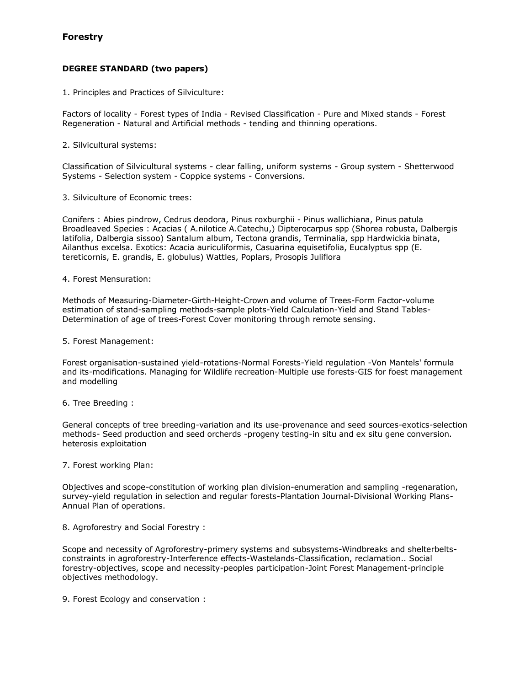# **Forestry**

## **DEGREE STANDARD (two papers)**

1. Principles and Practices of Silviculture:

Factors of locality - Forest types of India - Revised Classification - Pure and Mixed stands - Forest Regeneration - Natural and Artificial methods - tending and thinning operations.

2. Silvicultural systems:

Classification of Silvicultural systems - clear falling, uniform systems - Group system - Shetterwood Systems - Selection system - Coppice systems - Conversions.

3. Silviculture of Economic trees:

Conifers : Abies pindrow, Cedrus deodora, Pinus roxburghii - Pinus wallichiana, Pinus patula Broadleaved Species : Acacias ( A.nilotice A.Catechu,) Dipterocarpus spp (Shorea robusta, Dalbergis latifolia, Dalbergia sissoo) Santalum album, Tectona grandis, Terminalia, spp Hardwickia binata, Ailanthus excelsa. Exotics: Acacia auriculiformis, Casuarina equisetifolia, Eucalyptus spp (E. tereticornis, E. grandis, E. globulus) Wattles, Poplars, Prosopis Juliflora

4. Forest Mensuration:

Methods of Measuring-Diameter-Girth-Height-Crown and volume of Trees-Form Factor-volume estimation of stand-sampling methods-sample plots-Yield Calculation-Yield and Stand Tables-Determination of age of trees-Forest Cover monitoring through remote sensing.

5. Forest Management:

Forest organisation-sustained yield-rotations-Normal Forests-Yield regulation -Von Mantels' formula and its-modifications. Managing for Wildlife recreation-Multiple use forests-GIS for foest management and modelling

6. Tree Breeding :

General concepts of tree breeding-variation and its use-provenance and seed sources-exotics-selection methods- Seed production and seed orcherds -progeny testing-in situ and ex situ gene conversion. heterosis exploitation

## 7. Forest working Plan:

Objectives and scope-constitution of working plan division-enumeration and sampling -regenaration, survey-yield regulation in selection and regular forests-Plantation Journal-Divisional Working Plans-Annual Plan of operations.

8. Agroforestry and Social Forestry :

Scope and necessity of Agroforestry-primery systems and subsystems-Windbreaks and shelterbeltsconstraints in agroforestry-Interference effects-Wastelands-Classification, reclamation.. Social forestry-objectives, scope and necessity-peoples participation-Joint Forest Management-principle objectives methodology.

9. Forest Ecology and conservation :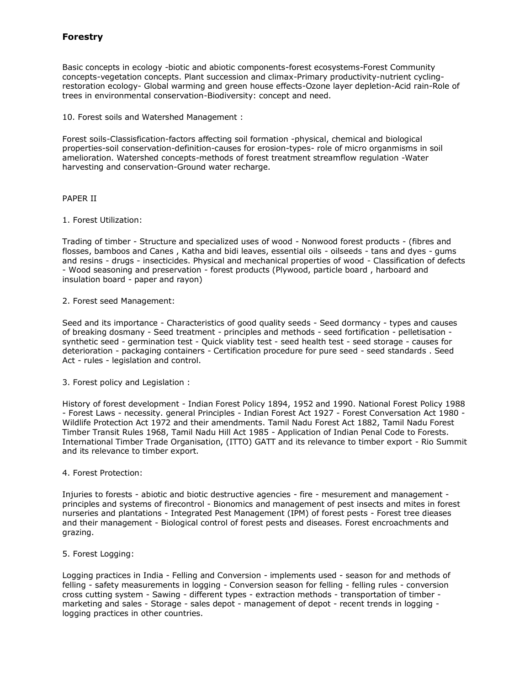# **Forestry**

Basic concepts in ecology -biotic and abiotic components-forest ecosystems-Forest Community concepts-vegetation concepts. Plant succession and climax-Primary productivity-nutrient cyclingrestoration ecology- Global warming and green house effects-Ozone layer depletion-Acid rain-Role of trees in environmental conservation-Biodiversity: concept and need.

10. Forest soils and Watershed Management :

Forest soils-Classisfication-factors affecting soil formation -physical, chemical and biological properties-soil conservation-definition-causes for erosion-types- role of micro organmisms in soil amelioration. Watershed concepts-methods of forest treatment streamflow regulation -Water harvesting and conservation-Ground water recharge.

## PAPER II

## 1. Forest Utilization:

Trading of timber - Structure and specialized uses of wood - Nonwood forest products - (fibres and flosses, bamboos and Canes , Katha and bidi leaves, essential oils - oilseeds - tans and dyes - gums and resins - drugs - insecticides. Physical and mechanical properties of wood - Classification of defects - Wood seasoning and preservation - forest products (Plywood, particle board , harboard and insulation board - paper and rayon)

## 2. Forest seed Management:

Seed and its importance - Characteristics of good quality seeds - Seed dormancy - types and causes of breaking dosmany - Seed treatment - principles and methods - seed fortification - pelletisation synthetic seed - germination test - Quick viablity test - seed health test - seed storage - causes for deterioration - packaging containers - Certification procedure for pure seed - seed standards . Seed Act - rules - legislation and control.

3. Forest policy and Legislation :

History of forest development - Indian Forest Policy 1894, 1952 and 1990. National Forest Policy 1988 - Forest Laws - necessity. general Principles - Indian Forest Act 1927 - Forest Conversation Act 1980 - Wildlife Protection Act 1972 and their amendments. Tamil Nadu Forest Act 1882, Tamil Nadu Forest Timber Transit Rules 1968, Tamil Nadu Hill Act 1985 - Application of Indian Penal Code to Forests. International Timber Trade Organisation, (ITTO) GATT and its relevance to timber export - Rio Summit and its relevance to timber export.

#### 4. Forest Protection:

Injuries to forests - abiotic and biotic destructive agencies - fire - mesurement and management principles and systems of firecontrol - Bionomics and management of pest insects and mites in forest nurseries and plantations - Integrated Pest Management (IPM) of forest pests - Forest tree dieases and their management - Biological control of forest pests and diseases. Forest encroachments and grazing.

#### 5. Forest Logging:

Logging practices in India - Felling and Conversion - implements used - season for and methods of felling - safety measurements in logging - Conversion season for felling - felling rules - conversion cross cutting system - Sawing - different types - extraction methods - transportation of timber marketing and sales - Storage - sales depot - management of depot - recent trends in logging logging practices in other countries.